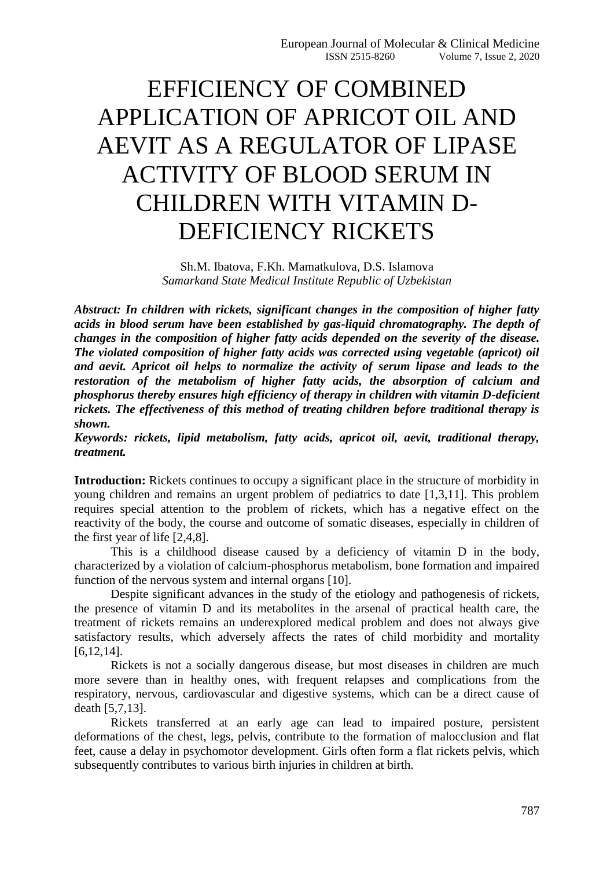## EFFICIENCY OF COMBINED APPLICATION OF APRICOT OIL AND AEVIT AS A REGULATOR OF LIPASE ACTIVITY OF BLOOD SERUM IN CHILDREN WITH VITAMIN D-DEFICIENCY RICKETS

Sh.M. Ibatova, F.Kh. Mamatkulova, D.S. Islamova *Samarkand State Medical Institute Republic of Uzbekistan*

*Abstract: In children with rickets, significant changes in the composition of higher fatty acids in blood serum have been established by gas-liquid chromatography. The depth of changes in the composition of higher fatty acids depended on the severity of the disease. The violated composition of higher fatty acids was corrected using vegetable (apricot) oil and aevit. Apricot oil helps to normalize the activity of serum lipase and leads to the restoration of the metabolism of higher fatty acids, the absorption of calcium and phosphorus thereby ensures high efficiency of therapy in children with vitamin D-deficient rickets. The effectiveness of this method of treating children before traditional therapy is shown.*

*Keywords: rickets, lipid metabolism, fatty acids, apricot oil, aevit, traditional therapy, treatment.*

**Introduction:** Rickets continues to occupy a significant place in the structure of morbidity in young children and remains an urgent problem of pediatrics to date [1,3,11]. This problem requires special attention to the problem of rickets, which has a negative effect on the reactivity of the body, the course and outcome of somatic diseases, especially in children of the first year of life [2,4,8].

This is a childhood disease caused by a deficiency of vitamin D in the body, characterized by a violation of calcium-phosphorus metabolism, bone formation and impaired function of the nervous system and internal organs [10].

Despite significant advances in the study of the etiology and pathogenesis of rickets, the presence of vitamin D and its metabolites in the arsenal of practical health care, the treatment of rickets remains an underexplored medical problem and does not always give satisfactory results, which adversely affects the rates of child morbidity and mortality [6,12,14].

Rickets is not a socially dangerous disease, but most diseases in children are much more severe than in healthy ones, with frequent relapses and complications from the respiratory, nervous, cardiovascular and digestive systems, which can be a direct cause of death [5,7,13].

Rickets transferred at an early age can lead to impaired posture, persistent deformations of the chest, legs, pelvis, contribute to the formation of malocclusion and flat feet, cause a delay in psychomotor development. Girls often form a flat rickets pelvis, which subsequently contributes to various birth injuries in children at birth.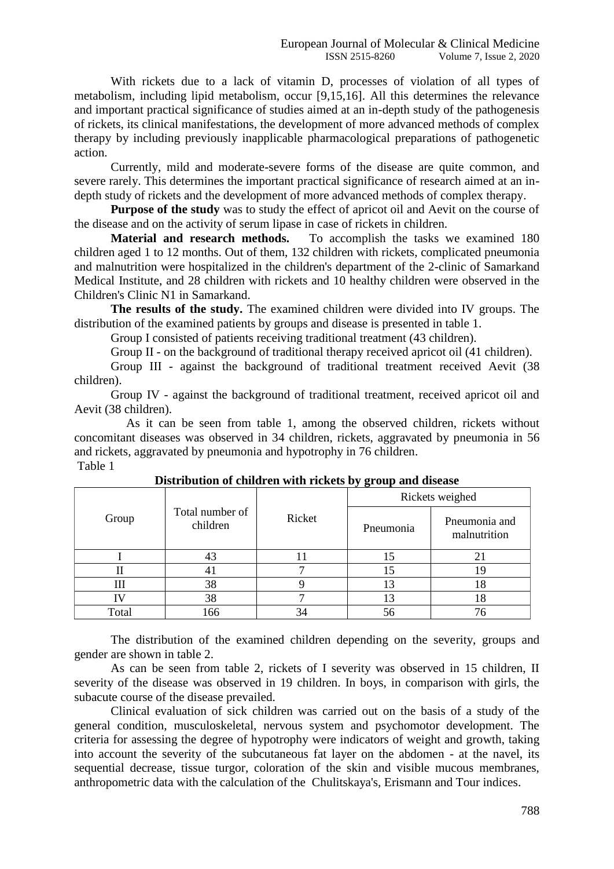With rickets due to a lack of vitamin D, processes of violation of all types of metabolism, including lipid metabolism, occur [9,15,16]. All this determines the relevance and important practical significance of studies aimed at an in-depth study of the pathogenesis of rickets, its clinical manifestations, the development of more advanced methods of complex therapy by including previously inapplicable pharmacological preparations of pathogenetic action.

Currently, mild and moderate-severe forms of the disease are quite common, and severe rarely. This determines the important practical significance of research aimed at an indepth study of rickets and the development of more advanced methods of complex therapy.

**Purpose of the study** was to study the effect of apricot oil and Aevit on the course of the disease and on the activity of serum lipase in case of rickets in children.

**Material and research methods.** To accomplish the tasks we examined 180 children aged 1 to 12 months. Out of them, 132 children with rickets, complicated pneumonia and malnutrition were hospitalized in the children's department of the 2-clinic of Samarkand Medical Institute, and 28 children with rickets and 10 healthy children were observed in the Children's Clinic N1 in Samarkand.

**The results of the study.** The examined children were divided into IV groups. The distribution of the examined patients by groups and disease is presented in table 1.

Group I consisted of patients receiving traditional treatment (43 children).

Group II - on the background of traditional therapy received apricot oil (41 children).

Group III - against the background of traditional treatment received Aevit (38 children).

Group IV - against the background of traditional treatment, received apricot oil and Aevit (38 children).

 As it can be seen from table 1, among the observed children, rickets without concomitant diseases was observed in 34 children, rickets, aggravated by pneumonia in 56 and rickets, aggravated by pneumonia and hypotrophy in 76 children. Table 1

| Group | Total number of<br>children | Ricket | $\overline{v}$ $\sigma$<br>Rickets weighed |                               |  |
|-------|-----------------------------|--------|--------------------------------------------|-------------------------------|--|
|       |                             |        | Pneumonia                                  | Pneumonia and<br>malnutrition |  |
|       | 43                          |        |                                            | 21                            |  |
|       | 41                          |        | 15                                         | 19                            |  |
| Ш     | 38                          |        | 13                                         | 18                            |  |
|       | 38                          |        | 13                                         | 18                            |  |
| Total | 166                         |        |                                            | 76                            |  |

## **Distribution of children with rickets by group and disease**

The distribution of the examined children depending on the severity, groups and gender are shown in table 2.

As can be seen from table 2, rickets of I severity was observed in 15 children, II severity of the disease was observed in 19 children. In boys, in comparison with girls, the subacute course of the disease prevailed.

Clinical evaluation of sick children was carried out on the basis of a study of the general condition, musculoskeletal, nervous system and psychomotor development. The criteria for assessing the degree of hypotrophy were indicators of weight and growth, taking into account the severity of the subcutaneous fat layer on the abdomen - at the navel, its sequential decrease, tissue turgor, coloration of the skin and visible mucous membranes, anthropometric data with the calculation of the Chulitskaya's, Erismann and Tour indices.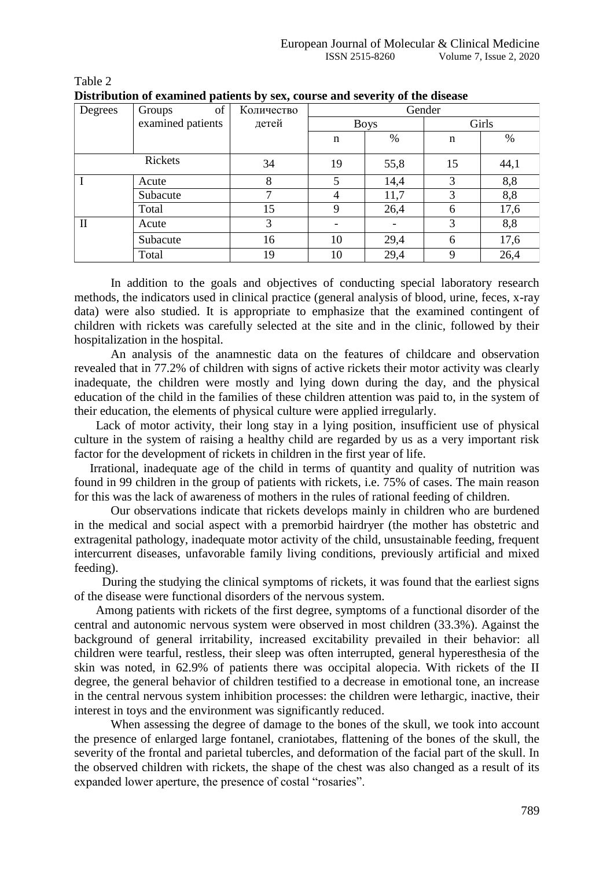| Degrees | of<br>Groups      | Количество | Gender      |               |             |      |
|---------|-------------------|------------|-------------|---------------|-------------|------|
|         | examined patients | детей      | <b>Boys</b> |               | Girls       |      |
|         |                   |            | n           | $\frac{0}{0}$ | $\mathbf n$ | $\%$ |
|         | Rickets           | 34         | 19          | 55,8          | 15          | 44,1 |
|         | Acute             | 8          | 5           | 14,4          | 3           | 8,8  |
|         | Subacute          | ⇁          | 4           | 11,7          | 3           | 8,8  |
|         | Total             | 15         | 9           | 26,4          | 6           | 17,6 |
| П       | Acute             | 3          |             |               | 3           | 8,8  |
|         | Subacute          | 16         | 10          | 29,4          | 6           | 17,6 |
|         | Total             | 19         | 10          | 29,4          | 9           | 26,4 |

Table 2 **Distribution of examined patients by sex, course and severity of the disease**

In addition to the goals and objectives of conducting special laboratory research methods, the indicators used in clinical practice (general analysis of blood, urine, feces, x-ray data) were also studied. It is appropriate to emphasize that the examined contingent of children with rickets was carefully selected at the site and in the clinic, followed by their hospitalization in the hospital.

An analysis of the anamnestic data on the features of childcare and observation revealed that in 77.2% of children with signs of active rickets their motor activity was clearly inadequate, the children were mostly and lying down during the day, and the physical education of the child in the families of these children attention was paid to, in the system of their education, the elements of physical culture were applied irregularly.

 Lack of motor activity, their long stay in a lying position, insufficient use of physical culture in the system of raising a healthy child are regarded by us as a very important risk factor for the development of rickets in children in the first year of life.

 Irrational, inadequate age of the child in terms of quantity and quality of nutrition was found in 99 children in the group of patients with rickets, i.e. 75% of cases. The main reason for this was the lack of awareness of mothers in the rules of rational feeding of children.

Our observations indicate that rickets develops mainly in children who are burdened in the medical and social aspect with a premorbid hairdryer (the mother has obstetric and extragenital pathology, inadequate motor activity of the child, unsustainable feeding, frequent intercurrent diseases, unfavorable family living conditions, previously artificial and mixed feeding).

 During the studying the clinical symptoms of rickets, it was found that the earliest signs of the disease were functional disorders of the nervous system.

 Among patients with rickets of the first degree, symptoms of a functional disorder of the central and autonomic nervous system were observed in most children (33.3%). Against the background of general irritability, increased excitability prevailed in their behavior: all children were tearful, restless, their sleep was often interrupted, general hyperesthesia of the skin was noted, in 62.9% of patients there was occipital alopecia. With rickets of the II degree, the general behavior of children testified to a decrease in emotional tone, an increase in the central nervous system inhibition processes: the children were lethargic, inactive, their interest in toys and the environment was significantly reduced.

 When assessing the degree of damage to the bones of the skull, we took into account the presence of enlarged large fontanel, craniotabes, flattening of the bones of the skull, the severity of the frontal and parietal tubercles, and deformation of the facial part of the skull. In the observed children with rickets, the shape of the chest was also changed as a result of its expanded lower aperture, the presence of costal "rosaries".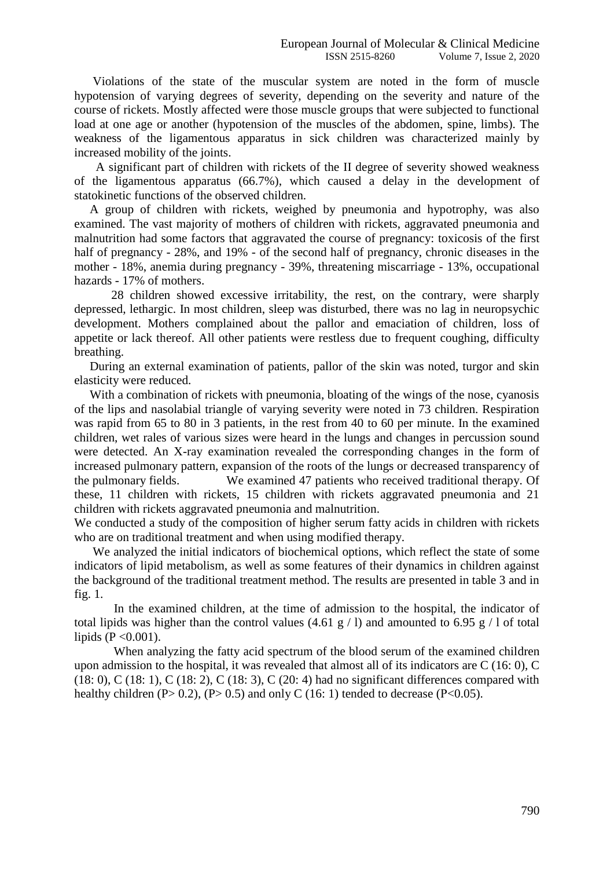Violations of the state of the muscular system are noted in the form of muscle hypotension of varying degrees of severity, depending on the severity and nature of the course of rickets. Mostly affected were those muscle groups that were subjected to functional load at one age or another (hypotension of the muscles of the abdomen, spine, limbs). The weakness of the ligamentous apparatus in sick children was characterized mainly by increased mobility of the joints.

 A significant part of children with rickets of the II degree of severity showed weakness of the ligamentous apparatus (66.7%), which caused a delay in the development of statokinetic functions of the observed children.

 A group of children with rickets, weighed by pneumonia and hypotrophy, was also examined. The vast majority of mothers of children with rickets, aggravated pneumonia and malnutrition had some factors that aggravated the course of pregnancy: toxicosis of the first half of pregnancy - 28%, and 19% - of the second half of pregnancy, chronic diseases in the mother - 18%, anemia during pregnancy - 39%, threatening miscarriage - 13%, occupational hazards - 17% of mothers.

 28 children showed excessive irritability, the rest, on the contrary, were sharply depressed, lethargic. In most children, sleep was disturbed, there was no lag in neuropsychic development. Mothers complained about the pallor and emaciation of children, loss of appetite or lack thereof. All other patients were restless due to frequent coughing, difficulty breathing.

 During an external examination of patients, pallor of the skin was noted, turgor and skin elasticity were reduced.

With a combination of rickets with pneumonia, bloating of the wings of the nose, cyanosis of the lips and nasolabial triangle of varying severity were noted in 73 children. Respiration was rapid from 65 to 80 in 3 patients, in the rest from 40 to 60 per minute. In the examined children, wet rales of various sizes were heard in the lungs and changes in percussion sound were detected. An X-ray examination revealed the corresponding changes in the form of increased pulmonary pattern, expansion of the roots of the lungs or decreased transparency of the pulmonary fields. We examined 47 patients who received traditional therapy. Of these, 11 children with rickets, 15 children with rickets aggravated pneumonia and 21 children with rickets aggravated pneumonia and malnutrition.

We conducted a study of the composition of higher serum fatty acids in children with rickets who are on traditional treatment and when using modified therapy.

 We analyzed the initial indicators of biochemical options, which reflect the state of some indicators of lipid metabolism, as well as some features of their dynamics in children against the background of the traditional treatment method. The results are presented in table 3 and in fig. 1.

In the examined children, at the time of admission to the hospital, the indicator of total lipids was higher than the control values  $(4.61 \text{ g} / l)$  and amounted to 6.95 g / l of total lipids ( $P < 0.001$ ).

When analyzing the fatty acid spectrum of the blood serum of the examined children upon admission to the hospital, it was revealed that almost all of its indicators are C (16: 0), C (18: 0), C (18: 1), C (18: 2), C (18: 3), C (20: 4) had no significant differences compared with healthy children  $(P> 0.2)$ ,  $(P> 0.5)$  and only C  $(16: 1)$  tended to decrease  $(P<0.05)$ .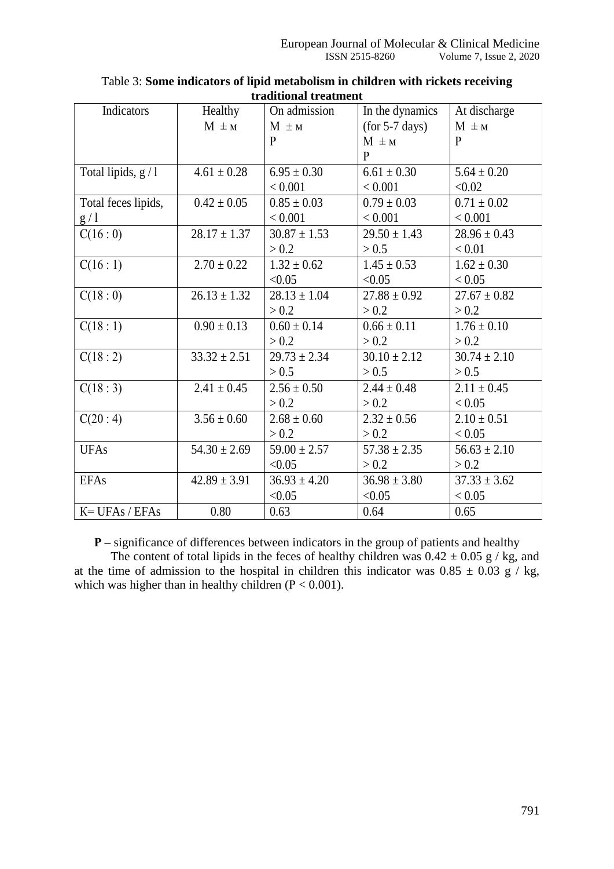| Indicators          | Healthy          | On admission     | In the dynamics  | At discharge     |
|---------------------|------------------|------------------|------------------|------------------|
|                     | $M \pm M$        | $M \pm M$        | $(for 5-7 days)$ | $M \pm M$        |
|                     |                  | P                | $M \pm M$        | P                |
|                     |                  |                  | $\mathbf{p}$     |                  |
| Total lipids, $g/1$ | $4.61 \pm 0.28$  | $6.95 \pm 0.30$  | $6.61 \pm 0.30$  | $5.64 \pm 0.20$  |
|                     |                  | < 0.001          | < 0.001          | < 0.02           |
| Total feces lipids, | $0.42 \pm 0.05$  | $0.85 \pm 0.03$  | $0.79 \pm 0.03$  | $0.71 \pm 0.02$  |
| g/1                 |                  | < 0.001          | < 0.001          | < 0.001          |
| C(16:0)             | $28.17 \pm 1.37$ | $30.87 \pm 1.53$ | $29.50 \pm 1.43$ | $28.96 \pm 0.43$ |
|                     |                  | > 0.2            | > 0.5            | < 0.01           |
| C(16:1)             | $2.70 \pm 0.22$  | $1.32 \pm 0.62$  | $1.45 \pm 0.53$  | $1.62 \pm 0.30$  |
|                     |                  | < 0.05           | < 0.05           | < 0.05           |
| C(18:0)             | $26.13 \pm 1.32$ | $28.13 \pm 1.04$ | $27.88 \pm 0.92$ | $27.67 \pm 0.82$ |
|                     |                  | > 0.2            | > 0.2            | > 0.2            |
| C(18:1)             | $0.90 \pm 0.13$  | $0.60 \pm 0.14$  | $0.66 \pm 0.11$  | $1.76 \pm 0.10$  |
|                     |                  | > 0.2            | > 0.2            | > 0.2            |
| C(18:2)             | $33.32 \pm 2.51$ | $29.73 \pm 2.34$ | $30.10 \pm 2.12$ | $30.74 \pm 2.10$ |
|                     |                  | > 0.5            | > 0.5            | > 0.5            |
| C(18:3)             | $2.41 \pm 0.45$  | $2.56 \pm 0.50$  | $2.44 \pm 0.48$  | $2.11 \pm 0.45$  |
|                     |                  | > 0.2            | > 0.2            | < 0.05           |
| C(20:4)             | $3.56 \pm 0.60$  | $2.68 \pm 0.60$  | $2.32 \pm 0.56$  | $2.10 \pm 0.51$  |
|                     |                  | > 0.2            | > 0.2            | < 0.05           |
| <b>UFAs</b>         | $54.30 \pm 2.69$ | $59.00 \pm 2.57$ | $57.38 \pm 2.35$ | $56.63 \pm 2.10$ |
|                     |                  | < 0.05           | > 0.2            | > 0.2            |
| <b>EFAs</b>         | $42.89 \pm 3.91$ | $36.93 \pm 4.20$ | $36.98 \pm 3.80$ | $37.33 \pm 3.62$ |
|                     |                  | < 0.05           | < 0.05           | < 0.05           |
| $K = UFAs / EFAs$   | 0.80             | 0.63             | 0.64             | 0.65             |

Table 3: **Some indicators of lipid metabolism in children with rickets receiving traditional treatment**

**Р –** significance of differences between indicators in the group of patients and healthy

The content of total lipids in the feces of healthy children was  $0.42 \pm 0.05$  g / kg, and at the time of admission to the hospital in children this indicator was  $0.85 \pm 0.03$  g / kg, which was higher than in healthy children ( $P < 0.001$ ).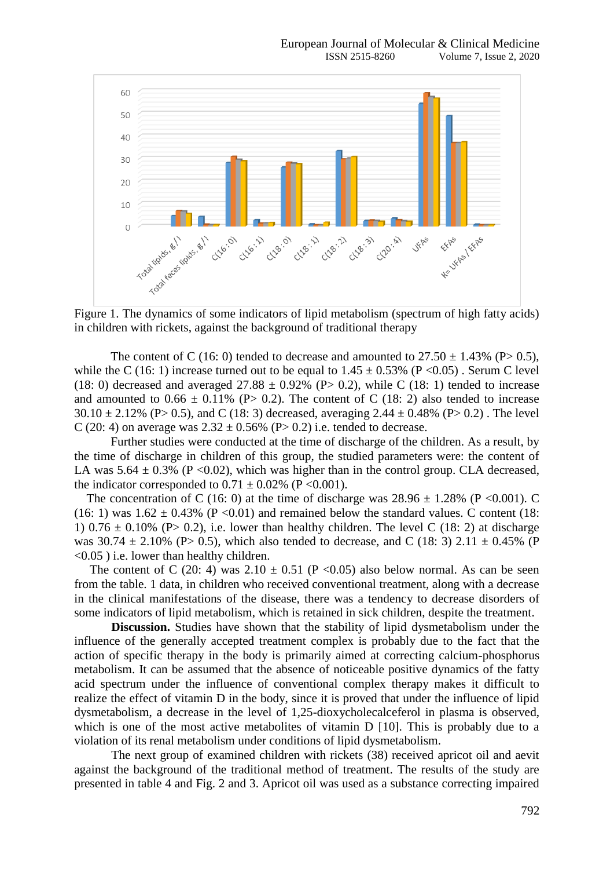

Figure 1. The dynamics of some indicators of lipid metabolism (spectrum of high fatty acids) in children with rickets, against the background of traditional therapy

The content of C (16: 0) tended to decrease and amounted to  $27.50 \pm 1.43\%$  (P $> 0.5$ ), while the C (16: 1) increase turned out to be equal to  $1.45 \pm 0.53\%$  (P < 0.05). Serum C level (18: 0) decreased and averaged  $27.88 \pm 0.92\%$  (P $> 0.2$ ), while C (18: 1) tended to increase and amounted to  $0.66 \pm 0.11\%$  (P> 0.2). The content of C (18: 2) also tended to increase  $30.10 \pm 2.12\%$  (P  $> 0.5$ ), and C (18: 3) decreased, averaging 2.44  $\pm$  0.48% (P  $> 0.2$ ). The level C (20: 4) on average was  $2.32 \pm 0.56\%$  (P> 0.2) i.e. tended to decrease.

 Further studies were conducted at the time of discharge of the children. As a result, by the time of discharge in children of this group, the studied parameters were: the content of LA was  $5.64 \pm 0.3\%$  (P < 0.02), which was higher than in the control group. CLA decreased, the indicator corresponded to  $0.71 \pm 0.02\%$  (P < 0.001).

The concentration of C (16: 0) at the time of discharge was  $28.96 \pm 1.28\%$  (P < 0.001). C (16: 1) was  $1.62 \pm 0.43\%$  (P < 0.01) and remained below the standard values. C content (18: 1) 0.76  $\pm$  0.10% (P> 0.2), i.e. lower than healthy children. The level C (18: 2) at discharge was  $30.74 \pm 2.10\%$  (P $> 0.5$ ), which also tended to decrease, and C (18: 3) 2.11  $\pm$  0.45% (P <0.05 ) i.e. lower than healthy children.

The content of C (20: 4) was  $2.10 \pm 0.51$  (P < 0.05) also below normal. As can be seen from the table. 1 data, in children who received conventional treatment, along with a decrease in the clinical manifestations of the disease, there was a tendency to decrease disorders of some indicators of lipid metabolism, which is retained in sick children, despite the treatment.

**Discussion.** Studies have shown that the stability of lipid dysmetabolism under the influence of the generally accepted treatment complex is probably due to the fact that the action of specific therapy in the body is primarily aimed at correcting calcium-phosphorus metabolism. It can be assumed that the absence of noticeable positive dynamics of the fatty acid spectrum under the influence of conventional complex therapy makes it difficult to realize the effect of vitamin D in the body, since it is proved that under the influence of lipid dysmetabolism, a decrease in the level of 1,25-dioxycholecalceferol in plasma is observed, which is one of the most active metabolites of vitamin D [10]. This is probably due to a violation of its renal metabolism under conditions of lipid dysmetabolism.

The next group of examined children with rickets (38) received apricot oil and aevit against the background of the traditional method of treatment. The results of the study are presented in table 4 and Fig. 2 and 3. Apricot oil was used as a substance correcting impaired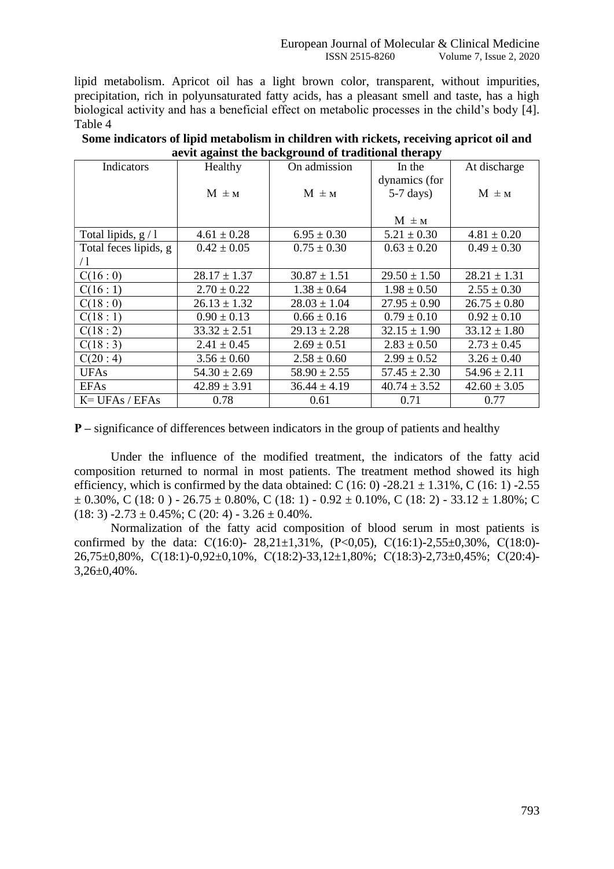lipid metabolism. Apricot oil has a light brown color, transparent, without impurities, precipitation, rich in polyunsaturated fatty acids, has a pleasant smell and taste, has a high biological activity and has a beneficial effect on metabolic processes in the child's body [4]. Table 4

| Some indicators of lipid metabolism in children with rickets, receiving apricot oil and |
|-----------------------------------------------------------------------------------------|
| aevit against the background of traditional therapy                                     |

| Indicators            | Healthy          | o<br>On admission | In the             | At discharge     |
|-----------------------|------------------|-------------------|--------------------|------------------|
|                       |                  |                   | dynamics (for      |                  |
|                       | $M \pm M$        | $M \pm M$         | $5-7 \text{ days}$ | $M \pm M$        |
|                       |                  |                   |                    |                  |
|                       |                  |                   | $M \pm M$          |                  |
| Total lipids, $g/1$   | $4.61 \pm 0.28$  | $6.95 \pm 0.30$   | $5.21 \pm 0.30$    | $4.81 \pm 0.20$  |
| Total feces lipids, g | $0.42 \pm 0.05$  | $0.75 \pm 0.30$   | $0.63 \pm 0.20$    | $0.49 \pm 0.30$  |
| $\angle 1$            |                  |                   |                    |                  |
| C(16:0)               | $28.17 \pm 1.37$ | $30.87 \pm 1.51$  | $29.50 \pm 1.50$   | $28.21 \pm 1.31$ |
| C(16:1)               | $2.70 \pm 0.22$  | $1.38 \pm 0.64$   | $1.98 \pm 0.50$    | $2.55 \pm 0.30$  |
| C(18:0)               | $26.13 \pm 1.32$ | $28.03 \pm 1.04$  | $27.95 \pm 0.90$   | $26.75 \pm 0.80$ |
| C(18:1)               | $0.90 \pm 0.13$  | $0.66 \pm 0.16$   | $0.79 \pm 0.10$    | $0.92 \pm 0.10$  |
| C(18:2)               | $33.32 \pm 2.51$ | $29.13 \pm 2.28$  | $32.15 \pm 1.90$   | $33.12 \pm 1.80$ |
| C(18:3)               | $2.41 \pm 0.45$  | $2.69 \pm 0.51$   | $2.83 \pm 0.50$    | $2.73 \pm 0.45$  |
| C(20:4)               | $3.56 \pm 0.60$  | $2.58 \pm 0.60$   | $2.99 \pm 0.52$    | $3.26 \pm 0.40$  |
| <b>UFAs</b>           | $54.30 \pm 2.69$ | $58.90 \pm 2.55$  | $57.45 \pm 2.30$   | $54.96 \pm 2.11$ |
| <b>EFAs</b>           | $42.89 \pm 3.91$ | $36.44 \pm 4.19$  | $40.74 \pm 3.52$   | $42.60 \pm 3.05$ |
| $K = UFAs / EFAs$     | 0.78             | 0.61              | 0.71               | 0.77             |

**P** – significance of differences between indicators in the group of patients and healthy

Under the influence of the modified treatment, the indicators of the fatty acid composition returned to normal in most patients. The treatment method showed its high efficiency, which is confirmed by the data obtained: C (16: 0) -28.21  $\pm$  1.31%, C (16: 1) -2.55  $\pm$  0.30%, C (18: 0) - 26.75  $\pm$  0.80%, C (18: 1) - 0.92  $\pm$  0.10%, C (18: 2) - 33.12  $\pm$  1.80%; C  $(18: 3) -2.73 \pm 0.45\%$ ; C (20: 4) - 3.26  $\pm$  0.40%.

Normalization of the fatty acid composition of blood serum in most patients is confirmed by the data: C(16:0)- 28,21±1,31%, (P<0,05), C(16:1)-2,55±0,30%, C(18:0)-26,75±0,80%, С(18:1)-0,92±0,10%, С(18:2)-33,12±1,80%; С(18:3)-2,73±0,45%; С(20:4)-  $3,26\pm0,40\%$ .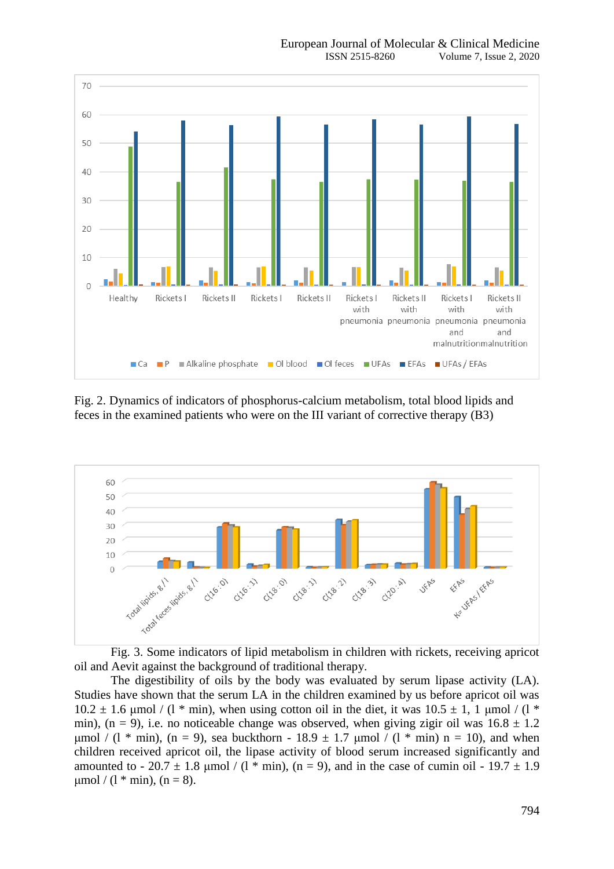

Fig. 2. Dynamics of indicators of phosphorus-calcium metabolism, total blood lipids and feces in the examined patients who were on the III variant of corrective therapy (В3)





The digestibility of oils by the body was evaluated by serum lipase activity (LA). Studies have shown that the serum LA in the children examined by us before apricot oil was  $10.2 \pm 1.6$  μmol / (1  $*$  min), when using cotton oil in the diet, it was  $10.5 \pm 1$ , 1 μmol / (1  $*$ min), (n = 9), i.e. no noticeable change was observed, when giving zigir oil was  $16.8 \pm 1.2$ μmol / (l \* min), (n = 9), sea buckthorn - 18.9  $\pm$  1.7 μmol / (l \* min) n = 10), and when children received apricot oil, the lipase activity of blood serum increased significantly and amounted to - 20.7  $\pm$  1.8 µmol / (1  $*$  min), (n = 9), and in the case of cumin oil - 19.7  $\pm$  1.9  $\mu$ mol / (1 \* min), (n = 8).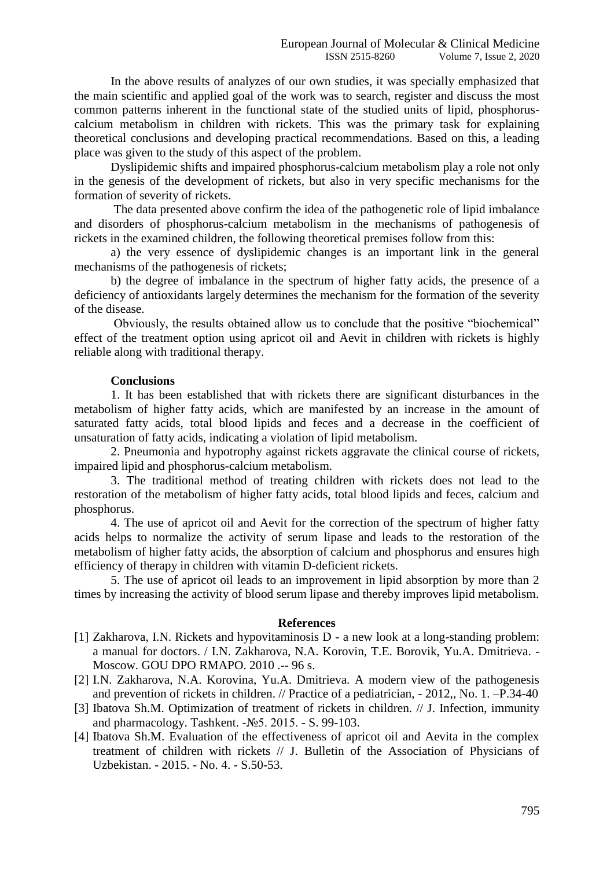In the above results of analyzes of our own studies, it was specially emphasized that the main scientific and applied goal of the work was to search, register and discuss the most common patterns inherent in the functional state of the studied units of lipid, phosphoruscalcium metabolism in children with rickets. This was the primary task for explaining theoretical conclusions and developing practical recommendations. Based on this, a leading place was given to the study of this aspect of the problem.

Dyslipidemic shifts and impaired phosphorus-calcium metabolism play a role not only in the genesis of the development of rickets, but also in very specific mechanisms for the formation of severity of rickets.

The data presented above confirm the idea of the pathogenetic role of lipid imbalance and disorders of phosphorus-calcium metabolism in the mechanisms of pathogenesis of rickets in the examined children, the following theoretical premises follow from this:

a) the very essence of dyslipidemic changes is an important link in the general mechanisms of the pathogenesis of rickets;

b) the degree of imbalance in the spectrum of higher fatty acids, the presence of a deficiency of antioxidants largely determines the mechanism for the formation of the severity of the disease.

Obviously, the results obtained allow us to conclude that the positive "biochemical" effect of the treatment option using apricot oil and Aevit in children with rickets is highly reliable along with traditional therapy.

## **Conclusions**

1. It has been established that with rickets there are significant disturbances in the metabolism of higher fatty acids, which are manifested by an increase in the amount of saturated fatty acids, total blood lipids and feces and a decrease in the coefficient of unsaturation of fatty acids, indicating a violation of lipid metabolism.

2. Pneumonia and hypotrophy against rickets aggravate the clinical course of rickets, impaired lipid and phosphorus-calcium metabolism.

3. The traditional method of treating children with rickets does not lead to the restoration of the metabolism of higher fatty acids, total blood lipids and feces, calcium and phosphorus.

4. The use of apricot oil and Aevit for the correction of the spectrum of higher fatty acids helps to normalize the activity of serum lipase and leads to the restoration of the metabolism of higher fatty acids, the absorption of calcium and phosphorus and ensures high efficiency of therapy in children with vitamin D-deficient rickets.

5. The use of apricot oil leads to an improvement in lipid absorption by more than 2 times by increasing the activity of blood serum lipase and thereby improves lipid metabolism.

## **References**

- [1] Zakharova, I.N. Rickets and hypovitaminosis D a new look at a long-standing problem: a manual for doctors. / I.N. Zakharova, N.A. Korovin, T.E. Borovik, Yu.A. Dmitrieva. - Moscow. GOU DPO RMAPO. 2010 .-- 96 s.
- [2] I.N. Zakharova, N.A. Korovina, Yu.A. Dmitrieva. A modern view of the pathogenesis and prevention of rickets in children. // Practice of a pediatrician, - 2012,, No. 1. –P.34-40
- [3] Ibatova Sh.M. Optimization of treatment of rickets in children. // J. Infection, immunity and pharmacology. Tashkent. -№5. 2015. - S. 99-103.
- [4] Ibatova Sh.M. Evaluation of the effectiveness of apricot oil and Aevita in the complex treatment of children with rickets // J. Bulletin of the Association of Physicians of Uzbekistan. - 2015. - No. 4. - S.50-53.